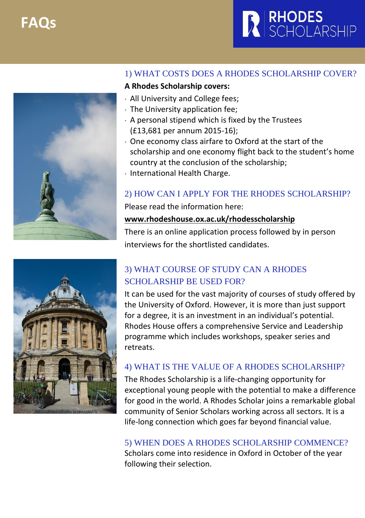**FAQs**







### 1) WHAT COSTS DOES A RHODES SCHOLARSHIP COVER?

#### **A Rhodes Scholarship covers:**

- All University and College fees;
- The University application fee;
- A personal stipend which is fixed by the Trustees (£13,681 per annum 2015-16);
- One economy class airfare to Oxford at the start of the scholarship and one economy flight back to the student's home country at the conclusion of the scholarship;
- International Health Charge.

## 2) HOW CAN I APPLY FOR THE RHODES SCHOLARSHIP?

Please read the information here:

### **[www.rhodeshouse.ox.ac.uk/rhodesscholarship](http://www.rhodeshouse.ox.ac.uk/rhodesscholarship)**

There is an online application process followed by in person interviews for the shortlisted candidates.

## 3) WHAT COURSE OF STUDY CAN A RHODES SCHOLARSHIP BE USED FOR?

It can be used for the vast majority of courses of study offered by the University of Oxford. However, it is more than just support for a degree, it is an investment in an individual's potential. Rhodes House offers a comprehensive Service and Leadership programme which includes workshops, speaker series and retreats.

### 4) WHAT IS THE VALUE OF A RHODES SCHOLARSHIP?

The Rhodes Scholarship is a life-changing opportunity for exceptional young people with the potential to make a difference for good in the world. A Rhodes Scholar joins a remarkable global community of Senior Scholars working across all sectors. It is a life-long connection which goes far beyond financial value.

5) WHEN DOES A RHODES SCHOLARSHIP COMMENCE? Scholars come into residence in Oxford in October of the year following their selection.